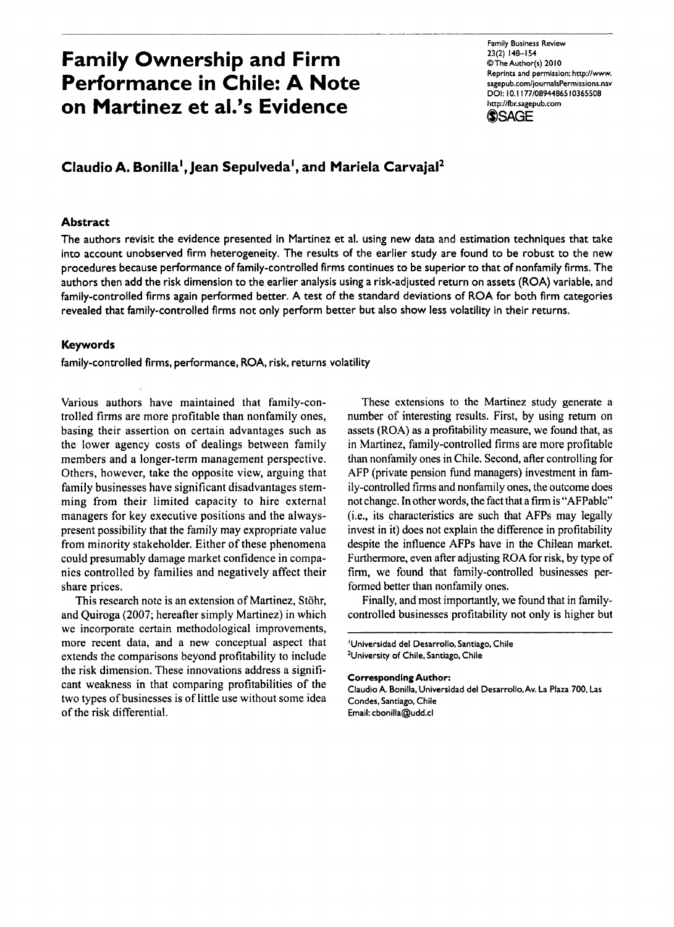# **Family Ownership and Firm Performance in Chile: A Note on Martinez et al.'s Evidence**

Family Business Review 23(2) 148-154 ©The Author(s) 20I0 Reprints and permission: http://www. sagepub.com/journalsPermissions.nav DOI: 10.1177/0894486510365508 http://fbr.sagepub.com



## **Claudio A. BonillaI, Jean Sepulveda I, and Mariela Carvajal<sup>2</sup>**

#### **Abstract**

The authors revisit the evidence presented in Martinez et al. using new data and estimation techniques that take into account unobserved firm heterogeneity. The results of the earlier study are found to be robust to the new procedures because performance of family-controlled firms continues to be superior to that of nonfamily firms. The authors then add the risk dimension to the earlier analysis using a risk-adjusted return on assets (ROA) variable, and family-controlled firms again performed better. A test of the standard deviations of ROA for both firm categories revealed that family-controlled firms not only perform better but also show less volatility in their returns.

#### **Keywords**

family-controlled firms. performance. ROA, risk, returns volatility

Various authors have maintained that family-controlled firms are more profitable than nonfamily ones, basing their assertion on certain advantages such as the lower agency costs of dealings between family members and a longer-term management perspective. Others, however, take the opposite view, arguing that family businesses have significant disadvantages stemming from their limited capacity to hire external managers for key executive positions and the alwayspresent possibility that the family may expropriate value from minority stakeholder. Either of these phenomena could presumably damage market confidence in companies controlled by families and negatively affect their share prices.

This research note is an extension of Martinez, Stohr, and Quiroga (2007; hereafter simply Martinez) in which we incorporate certain methodological improvements, more recent data, and a new conceptual aspect that extends the comparisons beyond profitability to include the risk dimension. These innovations address a significant weakness in that comparing profitabilities of the two types of businesses is of little use without some idea of the risk differential.

These extensions to the Martinez study generate a number of interesting results. First, by using return on assets (ROA) as a profitability measure, we found that, as in Martinez, family-controlled firms are more profitable than nonfamily ones in Chile. Second, after controlling for AFP (private pension fund managers) investment in family-controlled firms and nonfamily ones, the outcome does not change. In other words, the fact that a firm is "AFPable" (i.e., its characteristics are such that AFPs may legally invest in it) does not explain the difference in profitability despite the influence AFPs have in the Chilean market. Furthermore, even after adjusting ROA for risk, by type of firm, we found that family-controlled businesses performed better than nonfamily ones.

Finally, and most importantly, we found that in familycontrolled businesses profitability not only is higher but

<sup>2</sup>University of Chile, Santiago, Chile

Corresponding Author:

ClaudioA. Bonilla. Universidad del Desarrollo,Av. La Plaza700. Las Condes, Santiago, Chile Email: cbonilla@udd.c1

<sup>&</sup>lt;sup>1</sup>Universidad del Desarrollo, Santiago, Chile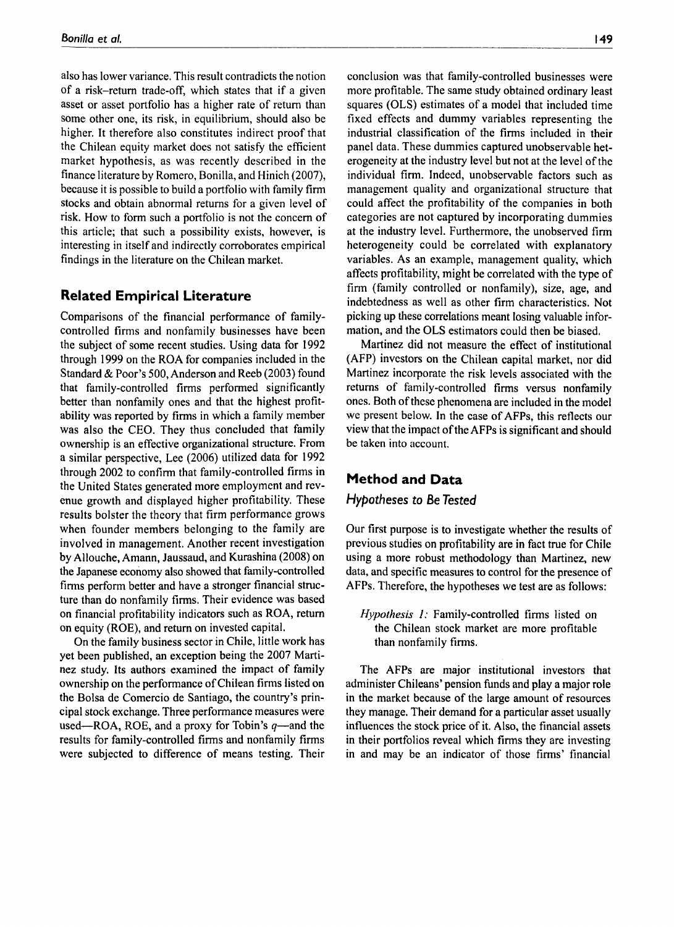also has lower variance. This result contradicts the notion of a risk-return trade-off, which states that if a given asset or asset portfolio has a higher rate of return than some other one, its risk, in equilibrium, should also be higher. It therefore also constitutes indirect proof that the Chilean equity market does not satisfy the efficient market hypothesis, as was recently described in the finance literature by Romero, Bonilla, and Hinich (2007), because it is possible to build a portfolio with family firm stocks and obtain abnormal returns for a given level of risk. How to form such a portfolio is not the concern of this article; that such a possibility exists, however, is interesting in itself and indirectly corroborates empirical findings in the literature on the Chilean market.

## **Related Empirical Literature**

Comparisons of the financial performance of familycontrolled firms and nonfamily businesses have been the subject of some recent studies. Using data for 1992 through 1999 on the ROA for companies included in the Standard & Poor's 500, Anderson and Reeb (2003) found that family-controlled firms performed significantly better than nonfamily ones and that the highest profitability was reported by firms in which a family member was also the CEO. They thus concluded that family ownership is an effective organizational structure. From a similar perspective, Lee (2006) utilized data for 1992 through 2002 to confirm that family-controlled firms in the United States generated more employment and revenue growth and displayed higher profitability. These results bolster the theory that firm performance grows when founder members belonging to the family are involved in management. Another recent investigation by Allouche, Amann, Jaussaud, and Kurashina (2008) on the Japanese economy also showed that family-controlled firms perform better and have a stronger financial structure than do nonfamily firms. Their evidence was based on financial profitability indicators such as ROA, return on equity (ROE), and return on invested capital.

On the family business sector in Chile, little work has yet been published, an exception being the 2007 Martinez study. Its authors examined the impact of family ownership on the performance of Chilean firms listed on the Bolsa de Comercio de Santiago, the country's principal stock exchange. Three performance measures were used—ROA, ROE, and a proxy for Tobin's  $q$ —and the results for family-controlled firms and nonfamily firms were subjected to difference of means testing. Their

conclusion was that family-controlled businesses were more profitable. The same study obtained ordinary least squares (OLS) estimates of a model that included time fixed effects and dummy variables representing the industrial classification of the firms included in their panel data. These dummies captured unobservable heterogeneity at the industry level but not at the level of the individual firm. Indeed, unobservable factors such as management quality and organizational structure that could affect the profitability of the companies in both categories are not captured by incorporating dummies at the industry level. Furthermore, the unobserved firm heterogeneity could be correlated with explanatory variables. As an example, management quality, which affects profitability, might be correlated with the type of firm (family controlled or nonfamily), size, age, and indebtedness as well as other firm characteristics. Not picking up these correlations meant losing valuable infor-

Martinez did not measure the effect of institutional (AFP) investors on the Chilean capital market, nor did Martinez incorporate the risk levels associated with the returns of family-controlled firms versus nonfamily ones. Both of these phenomena are included in the model we present below. In the case of AFPs, this reflects our view that the impact of the AFPs is significant and should be taken into account.

mation, and the OLS estimators could then be biased.

## **Method and Data**

## *Hypotheses to* **Be** *Tested*

Our first purpose is to investigate whether the results of previous studies on profitability are in fact true for Chile using a more robust methodology than Martinez, new data, and specific measures to control for the presence of AFPs. Therefore, the hypotheses we test are as follows:

*Hypothesis* 1: Family-controlled firms listed on the Chilean stock market are more profitable than nonfamily firms,

The AFPs are major institutional investors that administer Chileans' pension funds and playa major role in the market because of the large amount of resources they manage. Their demand for a particular asset usually influences the stock price of it. Also, the financial assets in their portfolios reveal which firms they are investing in and may be an indicator of those firms' financial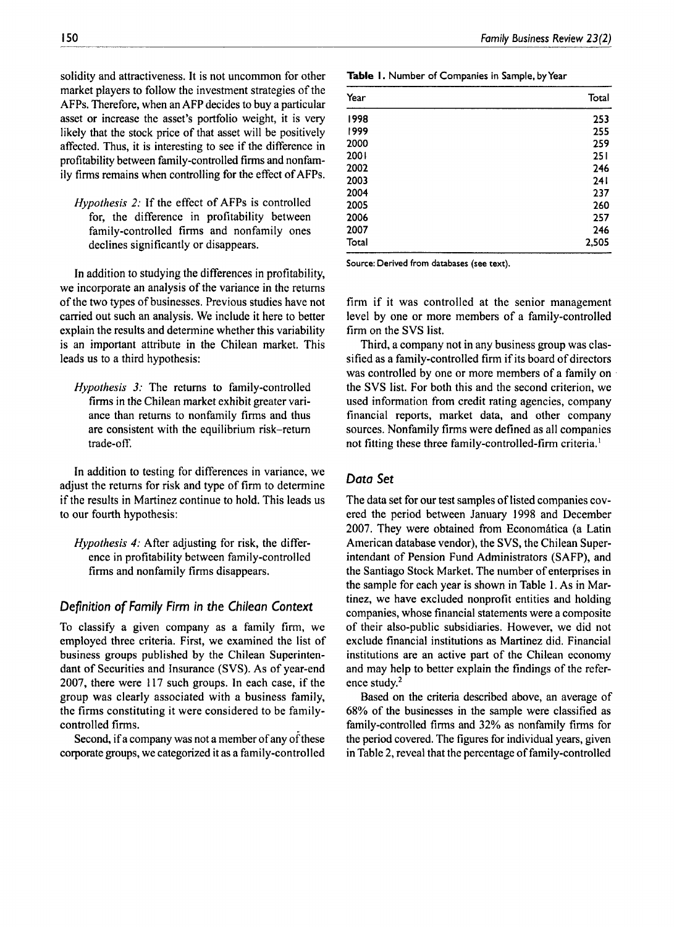solidity and attractiveness. It is not uncommon for other market players to follow the investment strategies of the AFPs. Therefore, when an AFP decides to buy a particular asset or increase the asset's portfolio weight, it is very likely that the stock price of that asset will be positively affected. Thus, it is interesting to see if the difference in profitability between family-controlled firms and nonfamily firms remains when controlling for the effect of AFPs.

*Hypothesis* 2: If the effect of AFPs is controlled for, the difference in profitability between family-controlled firms and nonfamily ones declines significantly or disappears.

In addition to studying the differences in profitability, we incorporate an analysis of the variance in the returns of the two types of businesses. Previous studies have not carried out such an analysis. We include it here to better explain the results and determine whether this variability is an important attribute in the Chilean market. This leads us to a third hypothesis:

*Hypothesis* 3: The returns to family-controlled firms in the Chilean market exhibit greater variance than returns to nonfamily firms and thus are consistent with the equilibrium risk-return trade-off.

In addition to testing for differences in variance, we adjust the returns for risk and type of firm to determine if the results in Martinez continue to hold. This leads us to our fourth hypothesis:

*Hypothesis* 4: After adjusting for risk, the difference in profitability between family-controlled firms and nonfamily firms disappears.

## *Deftnition* of*Family Firm in the Chilean Context*

To classify a given company as a family firm, we employed three criteria. First, we examined the list of business groups published by the Chilean Superintendant of Securities and Insurance (SVS). As of year-end 2007, there were 117 such groups. In each case, if the group was clearly associated with a business family, the firms constituting it were considered to be familycontrolled firms.

Second, if a company was not a member of any of these corporate groups, we categorized it as a family-controlled

| Table 1. Number of Companies in Sample, by Year |  |  |  |  |  |  |  |  |
|-------------------------------------------------|--|--|--|--|--|--|--|--|
|-------------------------------------------------|--|--|--|--|--|--|--|--|

| Year  | Total      |
|-------|------------|
| 1998  | 253        |
| 1999  | 255        |
| 2000  | 259        |
| 2001  | 251        |
| 2002  | 246        |
| 2003  | <b>241</b> |
| 2004  | 237        |
| 2005  | 260        |
| 2006  | 257        |
| 2007  | 246        |
| Total | 2,505      |

Source: Derived from databases (see text).

firm if it was controlled at the senior management level by one or more members of a family-controlled firm on the SVS list.

Third, a company not in any business group was classified as a family-controlled firm if its board of directors was controlled by one or more members of a family on the SVS list. For both this and the second criterion, we used information from credit rating agencies, company financial reports, market data, and other company sources. Nonfamily firms were defined as all companies not fitting these three family-controlled-firm criteria.<sup>1</sup>

#### *Data Set*

The data set for our test samples of listed companies covered the period between January 1998 and December 2007. They were obtained from Economática (a Latin American database vendor), the SVS, the Chilean Superintendant of Pension Fund Administrators (SAFP), and the Santiago Stock Market. The number of enterprises in the sample for each year is shown in Table I. As in Martinez, we have excluded nonprofit entities and holding companies, whose financial statements were a composite of their also-public subsidiaries. However, we did not exclude financial institutions as Martinez did. Financial institutions are an active part of the Chilean economy and may help to better explain the findings of the reference study.<sup>2</sup>

Based on the criteria described above, an average of 68% of the businesses in the sample were classified as family-controlled firms and 32% as nonfamily firms for the period covered. The figures for individual years, given in Table 2, reveal that the percentage of family-controlled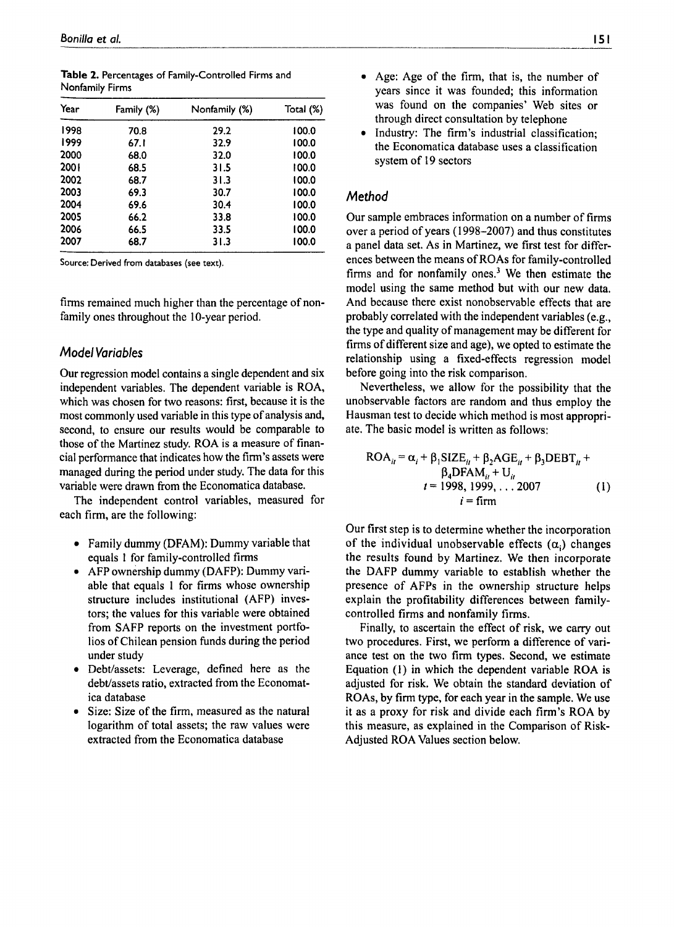| Year  | Family (%) | Nonfamily (%) | Total (%) |
|-------|------------|---------------|-----------|
| 1998  | 70.8       | 29.2          | 100.0     |
| 1999  | 67.I       | 32.9          | 100.0     |
| 2000  | 68.0       | 32.0          | 100.0     |
| 200 I | 68.5       | 31.5          | 100.0     |
| 2002  | 68.7       | 31.3          | 100.0     |
| 2003  | 69.3       | 30.7          | 100.0     |
| 2004  | 69.6       | 30.4          | 100.0     |
| 2005  | 66.2       | 33.8          | 100.0     |
| 2006  | 66.5       | 33.5          | 100.0     |
| 2007  | 68.7       | 31.3          | 100.0     |

**Table** 2. Percentages of Family-Controlled Firms and Nonfamily Firms

Source: Derived from databases (see text).

firms remained much higher than the percentage of nonfamily ones throughout the 10-year period.

#### *Model Variables*

Our regression model contains a single dependent and six independent variables. The dependent variable is ROA, which was chosen for two reasons: first, because it is the most commonly used variable in this type of analysis and, second, to ensure our results would be comparable to those of the Martinez study. ROA is a measure of financial performance that indicates how the firm's assets were managed during the period under study. The data for this variable were drawn from the Economatica database.

The independent control variables, measured for each firm, are the following:

- Family dummy (DFAM): Dummy variable that equals I for family-controlled firms
- AFP ownership dummy (DAFP): Dummy variable that equals I for firms whose ownership structure includes institutional (AFP) investors; the values for this variable were obtained from SAFP reports on the investment portfolios of Chilean pension funds during the period under study
- Debt/assets: Leverage, defined here as the debt/assets ratio, extracted from the Economatica database
- Size: Size of the firm, measured as the natural logarithm of total assets; the raw values were extracted from the Economatica database
- Age: Age of the firm, that is, the number of years since it was founded; this information was found on the companies' Web sites or through direct consultation by telephone
- Industry: The firm's industrial classification; the Economatica database uses a classification system of 19 sectors

## *Method*

Our sample embraces information on a number of firms over a period of years (1998-2007) and thus constitutes a panel data set. As in Martinez, we first test for differences between the means ofROAs for family-controlled firms and for nonfamily ones. $3$  We then estimate the model using the same method but with our new data. And because there exist nonobservable effects that are probably correlated with the independent variables (e.g., the type and quality of management may be different for firms of different size and age), we opted to estimate the relationship using a fixed-effects regression model before going into the risk comparison.

Nevertheless, we allow for the possibility that the unobservable factors are random and thus employ the Hausman test to decide which method is most appropriate. The basic model is written as follows:

$$
ROAit = \alphai + \beta1 SIZEit + \beta2AGEit + \beta3 DEBTit +\n\beta4 DFAMit + Uit\nt = 1998, 1999, ... 2007 (1)\ni = firm
$$

Our first step is to determine whether the incorporation of the individual unobservable effects  $(\alpha)$  changes the results found by Martinez. We then incorporate the DAFP dummy variable to establish whether the presence of AFPs in the ownership structure helps explain the profitability differences between familycontrolled firms and nonfamily firms,

Finally, to ascertain the effect of risk, we carry out two procedures. First, we perform a difference of variance test on the two firm types. Second, we estimate Equation (l) in which the dependent variable ROA is adjusted for risk. We obtain the standard deviation of ROAs, by firm type, for each year in the sample. We use it as a proxy for risk and divide each firm's ROA by this measure, as explained in the Comparison of Risk-Adjusted ROA Values section below.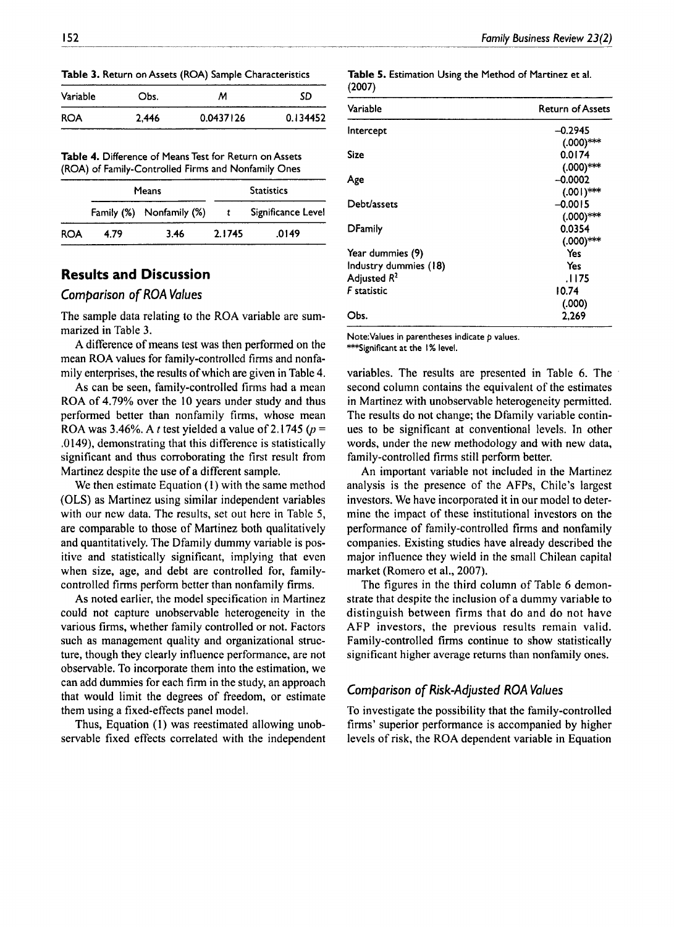**Table** 3. Return on Assets (ROA) Sample Characteristics

| Variable   | Obs.  | м         | SD       |
|------------|-------|-----------|----------|
| <b>ROA</b> | 2.446 | 0.0437126 | 0.134452 |

**Table** 4. Difference of Means Test for Return on Assets (ROA) of Family-Controlled Firms and Nonfamily Ones

|            |      | Means                    | <b>Statistics</b> |                    |  |
|------------|------|--------------------------|-------------------|--------------------|--|
|            |      | Family (%) Nonfamily (%) | t                 | Significance Level |  |
| <b>ROA</b> | 4.79 | 3.46                     | 2.1745            | .0149              |  |

## **Results and Discussion**

#### *Comparison* of*ROA Values*

The sample data relating to the ROA variable are summarized in Table 3.

A difference of means test was then performed on the mean ROA values for family-controlled firms and nonfamily enterprises, the results of which are given in Table 4.

As can be seen, family-controlled firms had a mean ROA of 4.79% over the 10 years under study and thus performed better than nonfamily firms, whose mean ROA was 3.46%. A *t* test yielded a value of 2.1745 ( $p =$ .0149), demonstrating that this difference is statistically significant and thus corroborating the first result from Martinez despite the use of a different sample.

We then estimate Equation (I) with the same method (OLS) as Martinez using similar independent variables with our new data. The results, set out here in Table 5, are comparable to those of Martinez both qualitatively and quantitatively. The Dfamily dummy variable is positive and statistically significant, implying that even when size, age, and debt are controlled for, familycontrolled firms perform better than nonfamily firms.

As noted earlier, the model specification in Martinez could not capture unobservable heterogeneity in the various firms, whether family controlled or not. Factors such as management quality and organizational structure, though they clearly influence performance, are not observable. To incorporate them into the estimation, we can add dummies for each firm in the study, an approach that would limit the degrees of freedom, or estimate them using a fixed-effects panel model.

Thus, Equation (l) was reestimated allowing unobservable fixed effects correlated with the independent

|        | Table 5. Estimation Using the Method of Martinez et al. |  |  |  |
|--------|---------------------------------------------------------|--|--|--|
| (2007) |                                                         |  |  |  |

| Variable                  | <b>Return of Assets</b> |
|---------------------------|-------------------------|
| Intercept                 | -0.2945                 |
|                           | $(.000)$ ***            |
| Size                      | 0.0174                  |
|                           | $(.000)$ ***            |
| Age                       | $-0.0002$               |
|                           | $(.001)$ ***            |
| Debt/assets               | $-0.0015$               |
|                           | $(.000)$ ***            |
| DFamily                   | 0.0354                  |
|                           | $(.000)$ ***            |
| Year dummies (9)          | Yes                     |
| Industry dummies (18)     | Yes                     |
| Adjusted R <sup>2</sup>   | .।।75                   |
| <i><b>F</b></i> statistic | 10.74                   |
|                           | (.000)                  |
| Obs.                      | 2.269                   |

Note:Valuesin parentheses Indicate*p* values.

\*\*\*Significant at the I% level.

variables. The results are presented in Table 6. The second column contains the equivalent of the estimates in Martinez with unobservable heterogeneity permitted. The results do not change; the Dfamily variable continues to be significant at conventional levels. In other words, under the new methodology and with new data, family-controlled firms still perform better.

An important variable not included in the Martinez analysis is the presence of the AFPs, Chile's largest investors. We have incorporated it in our model to determine the impact of these institutional investors on the performance of family-controlled firms and nonfamily companies. Existing studies have already described the major influence they wield in the small Chilean capital market (Romero et al., 2007).

The figures in the third column of Table 6 demonstrate that despite the inclusion of a dummy variable to distinguish between firms that do and do not have AFP investors, the previous results remain valid. Family-controlled firms continue to show statistically significant higher average returns than nonfamily ones.

## *Comparison* of*Risk-Adjusted ROA Values*

To investigate the possibility that the family-controlled firms' superior performance is accompanied by higher levels of risk, the ROA dependent variable in Equation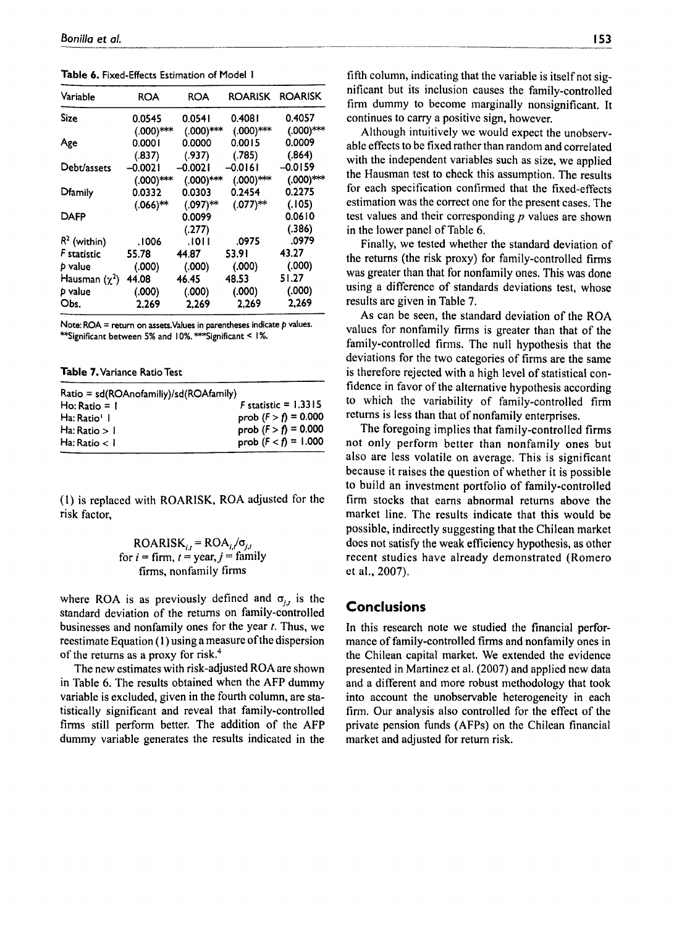| Variable           | <b>ROA</b>   | <b>ROA</b>   | <b>ROARISK</b> | <b>ROARISK</b> |
|--------------------|--------------|--------------|----------------|----------------|
| Size               | 0.0545       | 0.0541       | 0.4081         | 0.4057         |
|                    | $(.000)$ *** | $(.000)$ *** | $(.000)$ ***   | $(.000)$ ***   |
| Age                | 0.0001       | 0.0000       | 0.0015         | 0.0009         |
|                    | (.837)       | (.937)       | (.785)         | (.864)         |
| Debt/assets        | $-0.0021$    | -0.0021      | $-0.0161$      | $-0.0159$      |
|                    | $(.000)$ *** | $(.000)$ *** | $(.000)$ ***   | $(.000)$ ***   |
| Dfamily            | 0.0332       | 0.0303       | 0.2454         | 0.2275         |
|                    | $(.066)$ **  | $(.097)$ **  | $(.077)$ **    | (.105)         |
| DAFP               |              | 0.0099       |                | 0.0610         |
|                    |              | (.277)       |                | (.386)         |
| $R^2$ (within)     | 1006.        | . 10 1 1     | .0975          | .0979          |
| F statistic        | 55.78        | 44.87        | 53.91          | 43.27          |
| p value            | (.000)       | (.000)       | (.000)         | (.000)         |
| Hausman $(\chi^2)$ | 44.08        | 46.45        | 48.53          | 51.27          |
| p value            | (.000)       | (.000)       | (.000)         | (.000)         |
| Obs.               | 2.269        | 2.269        | 2.269          | 2,269          |
|                    |              |              |                |                |

**Table** 6. Fixed-Effects Estimation of Model 1

Note: ROA = return on assets. Values in parentheses indicate *p* values. \*\*Significant between 5%and 10%. \*\*\*Significant < 1%.

**Table 7.** Variance Ratio Test

| $Ratio = sd(ROAnofamily)/sd(ROAfamily)$ |                        |
|-----------------------------------------|------------------------|
| $H_0$ : Ratio = 1                       | $F$ statistic = 1.3315 |
| Ha: Ratio <sup>1</sup>                  | prob $(F > f) = 0.000$ |
| Ha: Ratio $>1$                          | prob $(F > f) = 0.000$ |
| Ha: Ratio $< 1$                         | prob $(F < f) = 1.000$ |
|                                         |                        |

(I) is replaced with ROARISK, ROA adjusted for the risk factor,

> $\mathsf{ROARISK}_{i,t} = \mathsf{ROA}_{i,t} / \sigma_{j,t}$ for  $i =$  firm,  $t =$  year,  $j =$  family firms, nonfamily firms

where ROA is as previously defined and  $\sigma_{i,j}$  is the standard deviation of the returns on family-controlled businesses and non family ones for the year *t.* Thus, we reestimate Equation (1) using a measure of the dispersion of the returns as a proxy for risk. $4$ 

The new estimates with risk-adjusted ROA are shown in Table 6. The results obtained when the AFP dummy variable is excluded, given in the fourth column, are statistically significant and reveal that family-controlled firms still perform better. The addition of the AFP dummy variable generates the results indicated in the fifth column, indicating that the variable is itself not significant but its inclusion causes the family-controlled firm dummy to become marginally nonsignificant. It continues to carry a positive sign, however.

Although intuitively we would expect the unobservable effects to be fixed rather than random and correlated with the independent variables such as size, we applied the Hausman test to check this assumption. The results for each specification confirmed that the fixed-effects estimation was the correct one for the present cases. The test values and their corresponding *p* values are shown in the lower panel of Table 6.

Finally, we tested whether the standard deviation of the returns (the risk proxy) for family-controlled firms was greater than that for nonfamily ones. This was done using a difference of standards deviations test, whose results are given in Table 7.

As can be seen, the standard deviation of the ROA values for nonfamily firms is greater than that of the family-controlled firms. The null hypothesis that the deviations for the two categories of firms are the same is therefore rejected with a high level of statistical confidence in favor of the alternative hypothesis according to which the variability of family-controlled firm returns is less than that of nonfamily enterprises.

The foregoing implies that family-controlled firms not only perform better than nonfamily ones but also are less volatile on average. This is significant because it raises the question of whether it is possible to build an investment portfolio of family-controlled firm stocks that earns abnormal returns above the market line. The results indicate that this would be possible, indirectly suggesting that the Chilean market does not satisfy the weak efficiency hypothesis, as other recent studies have already demonstrated (Romero et al., 2007).

## **Conclusions**

In this research note we studied the financial performance of family-controlled firms and nonfamily ones in the Chilean capital market. We. extended the evidence presented in Martinez et al. (2007) and applied new data and a different and more robust methodology that took into account the unobservable heterogeneity in each firm. Our analysis also controlled for the effect of the private pension funds (AFPs) on the Chilean financial market and adjusted for return risk.